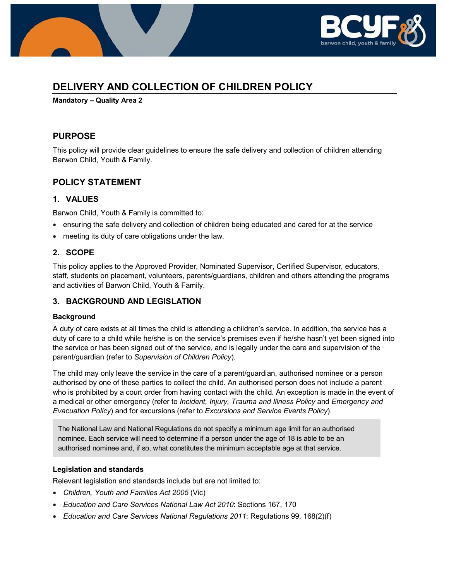

# **DELIVERY AND COLLECTION OF CHILDREN POLICY**

**Mandatory – Quality Area 2**

## **PURPOSE**

This policy will provide clear guidelines to ensure the safe delivery and collection of children attending Barwon Child, Youth & Family.

## **POLICY STATEMENT**

### **1. VALUES**

Barwon Child, Youth & Family is committed to:

- ensuring the safe delivery and collection of children being educated and cared for at the service
- meeting its duty of care obligations under the law.

### **2. SCOPE**

This policy applies to the Approved Provider, Nominated Supervisor, Certified Supervisor, educators, staff, students on placement, volunteers, parents/guardians, children and others attending the programs and activities of Barwon Child, Youth & Family.

### **3. BACKGROUND AND LEGISLATION**

### **Background**

A duty of care exists at all times the child is attending a children's service. In addition, the service has a duty of care to a child while he/she is on the service's premises even if he/she hasn't yet been signed into the service or has been signed out of the service, and is legally under the care and supervision of the parent/guardian (refer to *Supervision of Children Policy*).

The child may only leave the service in the care of a parent/guardian, authorised nominee or a person authorised by one of these parties to collect the child. An authorised person does not include a parent who is prohibited by a court order from having contact with the child. An exception is made in the event of a medical or other emergency (refer to *Incident, Injury, Trauma and Illness Policy* and *Emergency and Evacuation Policy*) and for excursions (refer to *Excursions and Service Events Policy*).

The National Law and National Regulations do not specify a minimum age limit for an authorised nominee. Each service will need to determine if a person under the age of 18 is able to be an authorised nominee and, if so, what constitutes the minimum acceptable age at that service.

### **Legislation and standards**

Relevant legislation and standards include but are not limited to:

- *Children, Youth and Families Act 2005* (Vic)
- *Education and Care Services National Law Act 2010*: Sections 167, 170
- *Education and Care Services National Regulations 2011*: Regulations 99, 168(2)(f)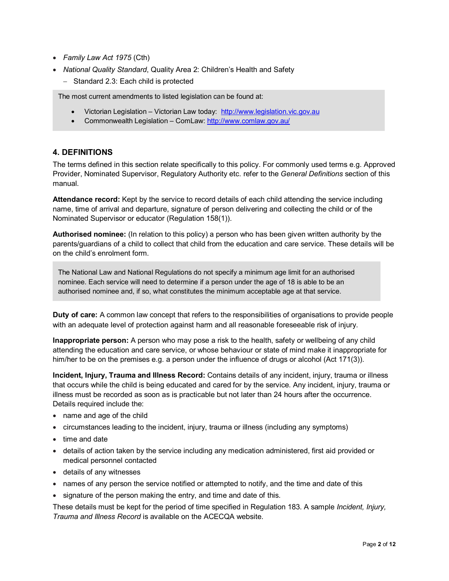- *Family Law Act 1975* (Cth)
- *National Quality Standard*, Quality Area 2: Children's Health and Safety
	- − Standard 2.3: Each child is protected

The most current amendments to listed legislation can be found at:

- Victorian Legislation Victorian Law today: [http://www.legislation.vic.gov.au](http://www.legislation.vic.gov.au/)
- Commonwealth Legislation ComLaw[: http://www.comlaw.gov.au/](http://www.comlaw.gov.au/)

#### **4. DEFINITIONS**

The terms defined in this section relate specifically to this policy. For commonly used terms e.g. Approved Provider, Nominated Supervisor, Regulatory Authority etc. refer to the *General Definitions* section of this manual.

**Attendance record:** Kept by the service to record details of each child attending the service including name, time of arrival and departure, signature of person delivering and collecting the child or of the Nominated Supervisor or educator (Regulation 158(1)).

**Authorised nominee:** (In relation to this policy) a person who has been given written authority by the parents/guardians of a child to collect that child from the education and care service. These details will be on the child's enrolment form.

The National Law and National Regulations do not specify a minimum age limit for an authorised nominee. Each service will need to determine if a person under the age of 18 is able to be an authorised nominee and, if so, what constitutes the minimum acceptable age at that service.

**Duty of care:** A common law concept that refers to the responsibilities of organisations to provide people with an adequate level of protection against harm and all reasonable foreseeable risk of injury.

**Inappropriate person:** A person who may pose a risk to the health, safety or wellbeing of any child attending the education and care service, or whose behaviour or state of mind make it inappropriate for him/her to be on the premises e.g. a person under the influence of drugs or alcohol (Act 171(3)).

**Incident, Injury, Trauma and Illness Record:** Contains details of any incident, injury, trauma or illness that occurs while the child is being educated and cared for by the service. Any incident, injury, trauma or illness must be recorded as soon as is practicable but not later than 24 hours after the occurrence. Details required include the:

- name and age of the child
- circumstances leading to the incident, injury, trauma or illness (including any symptoms)
- time and date
- details of action taken by the service including any medication administered, first aid provided or medical personnel contacted
- details of any witnesses
- names of any person the service notified or attempted to notify, and the time and date of this
- signature of the person making the entry, and time and date of this.

These details must be kept for the period of time specified in Regulation 183. A sample *Incident, Injury, Trauma and Illness Record* is available on the ACECQA website.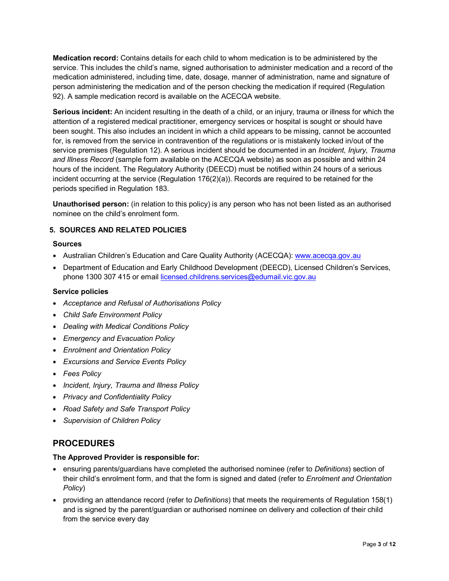**Medication record:** Contains details for each child to whom medication is to be administered by the service. This includes the child's name, signed authorisation to administer medication and a record of the medication administered, including time, date, dosage, manner of administration, name and signature of person administering the medication and of the person checking the medication if required (Regulation 92). A sample medication record is available on the ACECQA website.

**Serious incident:** An incident resulting in the death of a child, or an injury, trauma or illness for which the attention of a registered medical practitioner, emergency services or hospital is sought or should have been sought. This also includes an incident in which a child appears to be missing, cannot be accounted for, is removed from the service in contravention of the regulations or is mistakenly locked in/out of the service premises (Regulation 12). A serious incident should be documented in an *Incident, Injury, Trauma and Illness Record* (sample form available on the ACECQA website) as soon as possible and within 24 hours of the incident. The Regulatory Authority (DEECD) must be notified within 24 hours of a serious incident occurring at the service (Regulation 176(2)(a)). Records are required to be retained for the periods specified in Regulation 183.

**Unauthorised person:** (in relation to this policy) is any person who has not been listed as an authorised nominee on the child's enrolment form.

### **5. SOURCES AND RELATED POLICIES**

#### **Sources**

- Australian Children's Education and Care Quality Authority (ACECQA): [www.acecqa.gov.au](http://www.acecqa.gov.au/)
- Department of Education and Early Childhood Development (DEECD), Licensed Children's Services, phone 1300 307 415 or email [licensed.childrens.services@edumail.vic.gov.au](mailto:licensed.childrens.services@edumail.vic.gov.au)

#### **Service policies**

- *Acceptance and Refusal of Authorisations Policy*
- *Child Safe Environment Policy*
- *Dealing with Medical Conditions Policy*
- *Emergency and Evacuation Policy*
- *Enrolment and Orientation Policy*
- *Excursions and Service Events Policy*
- *Fees Policy*
- *Incident, Injury, Trauma and Illness Policy*
- *Privacy and Confidentiality Policy*
- *Road Safety and Safe Transport Policy*
- *Supervision of Children Policy*

## **PROCEDURES**

#### **The Approved Provider is responsible for:**

- ensuring parents/guardians have completed the authorised nominee (refer to *Definitions*) section of their child's enrolment form, and that the form is signed and dated (refer to *Enrolment and Orientation Policy*)
- providing an attendance record (refer to *Definitions*) that meets the requirements of Regulation 158(1) and is signed by the parent/guardian or authorised nominee on delivery and collection of their child from the service every day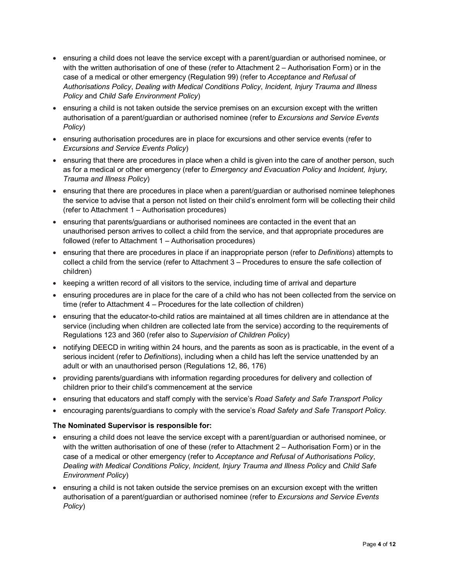- ensuring a child does not leave the service except with a parent/guardian or authorised nominee, or with the written authorisation of one of these (refer to Attachment 2 – Authorisation Form) or in the case of a medical or other emergency (Regulation 99) (refer to *Acceptance and Refusal of Authorisations Policy*, *Dealing with Medical Conditions Policy*, *Incident, Injury Trauma and Illness Policy* and *Child Safe Environment Policy*)
- ensuring a child is not taken outside the service premises on an excursion except with the written authorisation of a parent/guardian or authorised nominee (refer to *Excursions and Service Events Policy*)
- ensuring authorisation procedures are in place for excursions and other service events (refer to *Excursions and Service Events Policy*)
- ensuring that there are procedures in place when a child is given into the care of another person, such as for a medical or other emergency (refer to *Emergency and Evacuation Policy* and *Incident, Injury, Trauma and Illness Policy*)
- ensuring that there are procedures in place when a parent/guardian or authorised nominee telephones the service to advise that a person not listed on their child's enrolment form will be collecting their child (refer to Attachment 1 – Authorisation procedures)
- ensuring that parents/guardians or authorised nominees are contacted in the event that an unauthorised person arrives to collect a child from the service, and that appropriate procedures are followed (refer to Attachment 1 – Authorisation procedures)
- ensuring that there are procedures in place if an inappropriate person (refer to *Definitions*) attempts to collect a child from the service (refer to Attachment 3 – Procedures to ensure the safe collection of children)
- keeping a written record of all visitors to the service, including time of arrival and departure
- ensuring procedures are in place for the care of a child who has not been collected from the service on time (refer to Attachment 4 – Procedures for the late collection of children)
- ensuring that the educator-to-child ratios are maintained at all times children are in attendance at the service (including when children are collected late from the service) according to the requirements of Regulations 123 and 360 (refer also to *Supervision of Children Policy*)
- notifying DEECD in writing within 24 hours, and the parents as soon as is practicable, in the event of a serious incident (refer to *Definitions*), including when a child has left the service unattended by an adult or with an unauthorised person (Regulations 12, 86, 176)
- providing parents/guardians with information regarding procedures for delivery and collection of children prior to their child's commencement at the service
- ensuring that educators and staff comply with the service's *Road Safety and Safe Transport Policy*
- encouraging parents/guardians to comply with the service's *Road Safety and Safe Transport Policy*.

### **The Nominated Supervisor is responsible for:**

- ensuring a child does not leave the service except with a parent/guardian or authorised nominee, or with the written authorisation of one of these (refer to Attachment 2 – Authorisation Form) or in the case of a medical or other emergency (refer to *Acceptance and Refusal of Authorisations Policy*, *Dealing with Medical Conditions Policy*, *Incident, Injury Trauma and Illness Policy* and *Child Safe Environment Policy*)
- ensuring a child is not taken outside the service premises on an excursion except with the written authorisation of a parent/guardian or authorised nominee (refer to *Excursions and Service Events Policy*)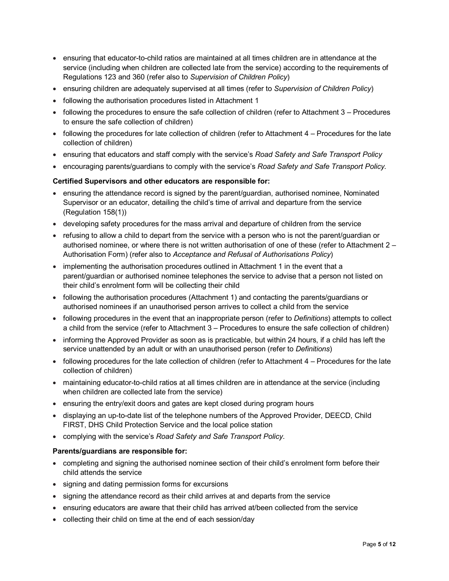- ensuring that educator-to-child ratios are maintained at all times children are in attendance at the service (including when children are collected late from the service) according to the requirements of Regulations 123 and 360 (refer also to *Supervision of Children Policy*)
- ensuring children are adequately supervised at all times (refer to *Supervision of Children Policy*)
- following the authorisation procedures listed in Attachment 1
- following the procedures to ensure the safe collection of children (refer to Attachment 3 Procedures to ensure the safe collection of children)
- following the procedures for late collection of children (refer to Attachment 4 Procedures for the late collection of children)
- ensuring that educators and staff comply with the service's *Road Safety and Safe Transport Policy*
- encouraging parents/guardians to comply with the service's *Road Safety and Safe Transport Policy*.

### **Certified Supervisors and other educators are responsible for:**

- ensuring the attendance record is signed by the parent/guardian, authorised nominee, Nominated Supervisor or an educator, detailing the child's time of arrival and departure from the service (Regulation 158(1))
- developing safety procedures for the mass arrival and departure of children from the service
- refusing to allow a child to depart from the service with a person who is not the parent/guardian or authorised nominee, or where there is not written authorisation of one of these (refer to Attachment 2 – Authorisation Form) (refer also to *Acceptance and Refusal of Authorisations Policy*)
- implementing the authorisation procedures outlined in Attachment 1 in the event that a parent/guardian or authorised nominee telephones the service to advise that a person not listed on their child's enrolment form will be collecting their child
- following the authorisation procedures (Attachment 1) and contacting the parents/guardians or authorised nominees if an unauthorised person arrives to collect a child from the service
- following procedures in the event that an inappropriate person (refer to *Definitions*) attempts to collect a child from the service (refer to Attachment 3 – Procedures to ensure the safe collection of children)
- informing the Approved Provider as soon as is practicable, but within 24 hours, if a child has left the service unattended by an adult or with an unauthorised person (refer to *Definitions*)
- following procedures for the late collection of children (refer to Attachment 4 Procedures for the late collection of children)
- maintaining educator-to-child ratios at all times children are in attendance at the service (including when children are collected late from the service)
- ensuring the entry/exit doors and gates are kept closed during program hours
- displaying an up-to-date list of the telephone numbers of the Approved Provider, DEECD, Child FIRST, DHS Child Protection Service and the local police station
- complying with the service's *Road Safety and Safe Transport Policy*.

#### **Parents/guardians are responsible for:**

- completing and signing the authorised nominee section of their child's enrolment form before their child attends the service
- signing and dating permission forms for excursions
- signing the attendance record as their child arrives at and departs from the service
- ensuring educators are aware that their child has arrived at/been collected from the service
- collecting their child on time at the end of each session/day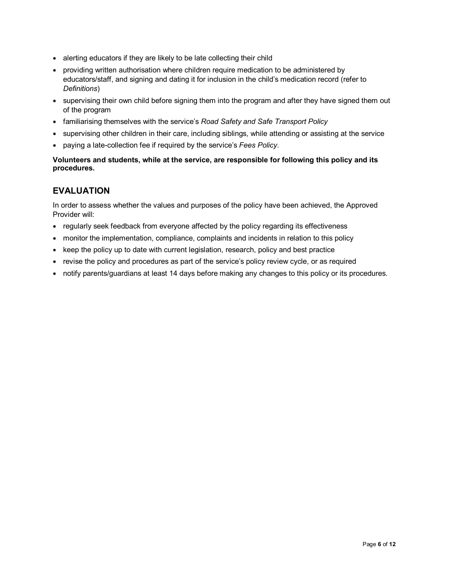- alerting educators if they are likely to be late collecting their child
- providing written authorisation where children require medication to be administered by educators/staff, and signing and dating it for inclusion in the child's medication record (refer to *Definitions*)
- supervising their own child before signing them into the program and after they have signed them out of the program
- familiarising themselves with the service's *Road Safety and Safe Transport Policy*
- supervising other children in their care, including siblings, while attending or assisting at the service
- paying a late-collection fee if required by the service's *Fees Policy*.

### **Volunteers and students, while at the service, are responsible for following this policy and its procedures.**

## **EVALUATION**

In order to assess whether the values and purposes of the policy have been achieved, the Approved Provider will:

- regularly seek feedback from everyone affected by the policy regarding its effectiveness
- monitor the implementation, compliance, complaints and incidents in relation to this policy
- keep the policy up to date with current legislation, research, policy and best practice
- revise the policy and procedures as part of the service's policy review cycle, or as required
- notify parents/guardians at least 14 days before making any changes to this policy or its procedures.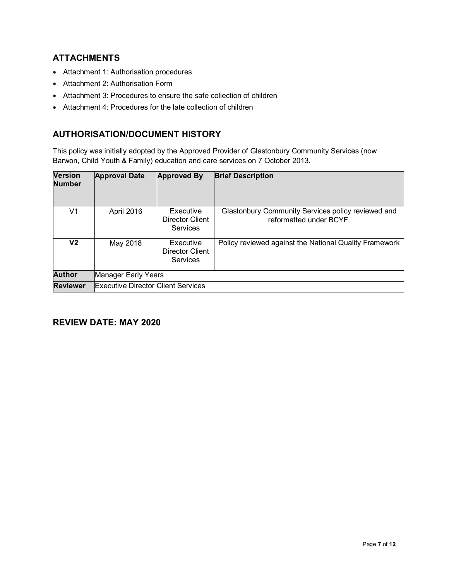## **ATTACHMENTS**

- Attachment 1: Authorisation procedures
- Attachment 2: Authorisation Form
- Attachment 3: Procedures to ensure the safe collection of children
- Attachment 4: Procedures for the late collection of children

## **AUTHORISATION/DOCUMENT HISTORY**

This policy was initially adopted by the Approved Provider of Glastonbury Community Services (now Barwon, Child Youth & Family) education and care services on 7 October 2013.

| <b>Version</b><br><b>Number</b> | <b>Approval Date</b>                      | <b>Approved By</b>                       | <b>Brief Description</b>                                                      |
|---------------------------------|-------------------------------------------|------------------------------------------|-------------------------------------------------------------------------------|
| V1                              | April 2016                                | Executive<br>Director Client<br>Services | Glastonbury Community Services policy reviewed and<br>reformatted under BCYF. |
| V2                              | May 2018                                  | Executive<br>Director Client<br>Services | Policy reviewed against the National Quality Framework                        |
| <b>Author</b>                   | Manager Early Years                       |                                          |                                                                               |
| <b>Reviewer</b>                 | <b>Executive Director Client Services</b> |                                          |                                                                               |

## **REVIEW DATE: MAY 2020**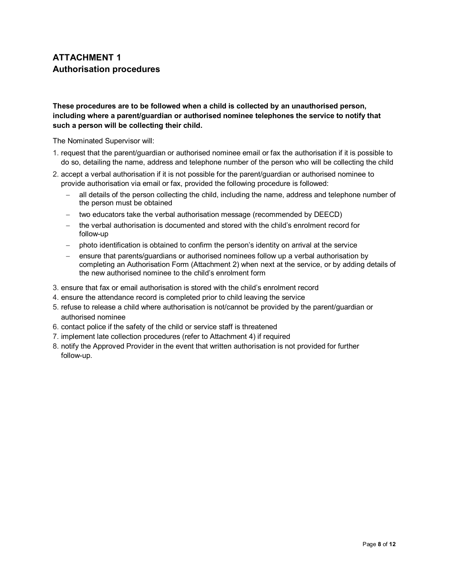# **ATTACHMENT 1 Authorisation procedures**

### **These procedures are to be followed when a child is collected by an unauthorised person, including where a parent/guardian or authorised nominee telephones the service to notify that such a person will be collecting their child.**

The Nominated Supervisor will:

- 1. request that the parent/guardian or authorised nominee email or fax the authorisation if it is possible to do so, detailing the name, address and telephone number of the person who will be collecting the child
- 2. accept a verbal authorisation if it is not possible for the parent/guardian or authorised nominee to provide authorisation via email or fax, provided the following procedure is followed:
	- − all details of the person collecting the child, including the name, address and telephone number of the person must be obtained
	- two educators take the verbal authorisation message (recommended by DEECD)
	- − the verbal authorisation is documented and stored with the child's enrolment record for follow-up
	- − photo identification is obtained to confirm the person's identity on arrival at the service
	- − ensure that parents/guardians or authorised nominees follow up a verbal authorisation by completing an Authorisation Form (Attachment 2) when next at the service, or by adding details of the new authorised nominee to the child's enrolment form
- 3. ensure that fax or email authorisation is stored with the child's enrolment record
- 4. ensure the attendance record is completed prior to child leaving the service
- 5. refuse to release a child where authorisation is not/cannot be provided by the parent/guardian or authorised nominee
- 6. contact police if the safety of the child or service staff is threatened
- 7. implement late collection procedures (refer to Attachment 4) if required
- 8. notify the Approved Provider in the event that written authorisation is not provided for further follow-up.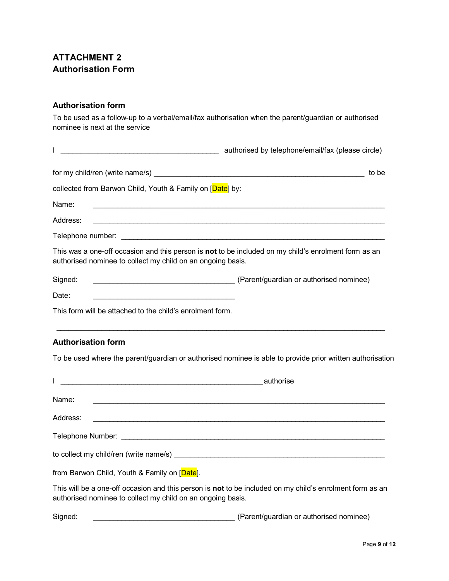# **ATTACHMENT 2 Authorisation Form**

### **Authorisation form**

To be used as a follow-up to a verbal/email/fax authorisation when the parent/guardian or authorised nominee is next at the service

| <u> 1989 - Johann Barbara, martin amerikan basal dan berasal dalam basal dalam basal dalam basal dalam basal dala</u>             | authorised by telephone/email/fax (please circle)                                                         |
|-----------------------------------------------------------------------------------------------------------------------------------|-----------------------------------------------------------------------------------------------------------|
|                                                                                                                                   |                                                                                                           |
| collected from Barwon Child, Youth & Family on [Date] by:                                                                         |                                                                                                           |
| Name:<br><u> 1980 - Johann John Barn, skriuwer as der staatskilder († 1901)</u>                                                   |                                                                                                           |
| Address:                                                                                                                          |                                                                                                           |
|                                                                                                                                   |                                                                                                           |
| authorised nominee to collect my child on an ongoing basis.                                                                       | This was a one-off occasion and this person is not to be included on my child's enrolment form as an      |
| Signed:                                                                                                                           |                                                                                                           |
| Date:<br><u> 1989 - Johann Barbara, martin amerikan basal dan berasal dalam basal dalam basal dalam basal dalam basal dala</u>    |                                                                                                           |
| This form will be attached to the child's enrolment form.                                                                         |                                                                                                           |
| <b>Authorisation form</b>                                                                                                         |                                                                                                           |
|                                                                                                                                   | To be used where the parent/guardian or authorised nominee is able to provide prior written authorisation |
|                                                                                                                                   |                                                                                                           |
| Name:                                                                                                                             |                                                                                                           |
| Address:<br><u> 1989 - Johann Stein, marwolaethau a bhann an t-Amhainn an t-Amhainn an t-Amhainn an t-Amhainn an t-Amhainn an</u> |                                                                                                           |
|                                                                                                                                   |                                                                                                           |
|                                                                                                                                   |                                                                                                           |
| from Barwon Child, Youth & Family on [Date].                                                                                      |                                                                                                           |
| authorised nominee to collect my child on an ongoing basis.                                                                       | This will be a one-off occasion and this person is not to be included on my child's enrolment form as an  |
| Signed:                                                                                                                           | (Parent/guardian or authorised nominee)                                                                   |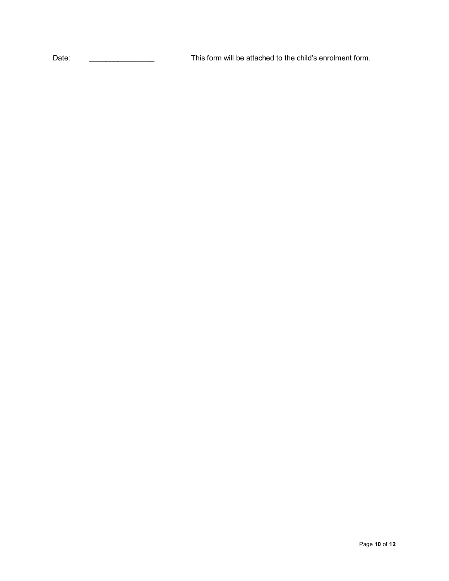Date: \_\_\_\_\_\_\_\_\_\_\_\_\_\_\_\_ This form will be attached to the child's enrolment form.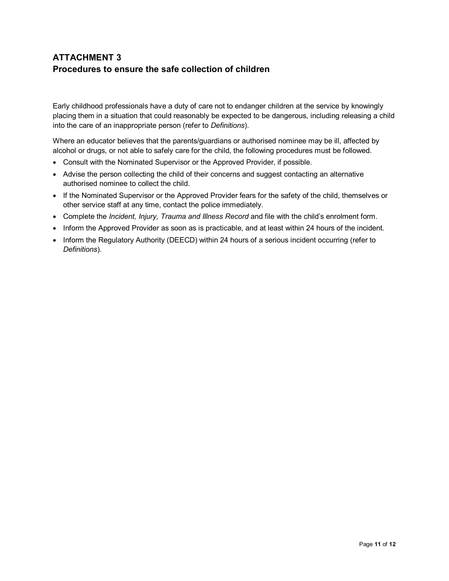# **ATTACHMENT 3 Procedures to ensure the safe collection of children**

Early childhood professionals have a duty of care not to endanger children at the service by knowingly placing them in a situation that could reasonably be expected to be dangerous, including releasing a child into the care of an inappropriate person (refer to *Definitions*).

Where an educator believes that the parents/guardians or authorised nominee may be ill, affected by alcohol or drugs, or not able to safely care for the child, the following procedures must be followed.

- Consult with the Nominated Supervisor or the Approved Provider, if possible.
- Advise the person collecting the child of their concerns and suggest contacting an alternative authorised nominee to collect the child.
- If the Nominated Supervisor or the Approved Provider fears for the safety of the child, themselves or other service staff at any time, contact the police immediately.
- Complete the *Incident, Injury, Trauma and Illness Record* and file with the child's enrolment form.
- Inform the Approved Provider as soon as is practicable, and at least within 24 hours of the incident.
- Inform the Regulatory Authority (DEECD) within 24 hours of a serious incident occurring (refer to *Definitions*).